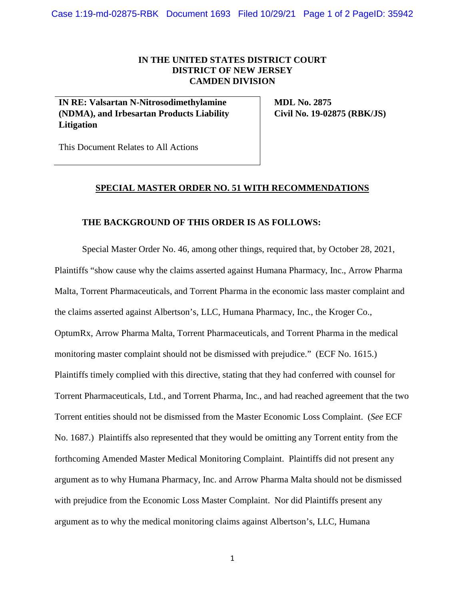Case 1:19-md-02875-RBK Document 1693 Filed 10/29/21 Page 1 of 2 PageID: 35942

## **IN THE UNITED STATES DISTRICT COURT DISTRICT OF NEW JERSEY CAMDEN DIVISION**

**IN RE: Valsartan N-Nitrosodimethylamine (NDMA), and Irbesartan Products Liability Litigation** 

**MDL No. 2875 Civil No. 19-02875 (RBK/JS)** 

This Document Relates to All Actions

## **SPECIAL MASTER ORDER NO. 51 WITH RECOMMENDATIONS**

## **THE BACKGROUND OF THIS ORDER IS AS FOLLOWS:**

Special Master Order No. 46, among other things, required that, by October 28, 2021, Plaintiffs "show cause why the claims asserted against Humana Pharmacy, Inc., Arrow Pharma Malta, Torrent Pharmaceuticals, and Torrent Pharma in the economic lass master complaint and the claims asserted against Albertson's, LLC, Humana Pharmacy, Inc., the Kroger Co., OptumRx, Arrow Pharma Malta, Torrent Pharmaceuticals, and Torrent Pharma in the medical monitoring master complaint should not be dismissed with prejudice." (ECF No. 1615.) Plaintiffs timely complied with this directive, stating that they had conferred with counsel for Torrent Pharmaceuticals, Ltd., and Torrent Pharma, Inc., and had reached agreement that the two Torrent entities should not be dismissed from the Master Economic Loss Complaint. (*See* ECF No. 1687.) Plaintiffs also represented that they would be omitting any Torrent entity from the forthcoming Amended Master Medical Monitoring Complaint. Plaintiffs did not present any argument as to why Humana Pharmacy, Inc. and Arrow Pharma Malta should not be dismissed with prejudice from the Economic Loss Master Complaint. Nor did Plaintiffs present any argument as to why the medical monitoring claims against Albertson's, LLC, Humana